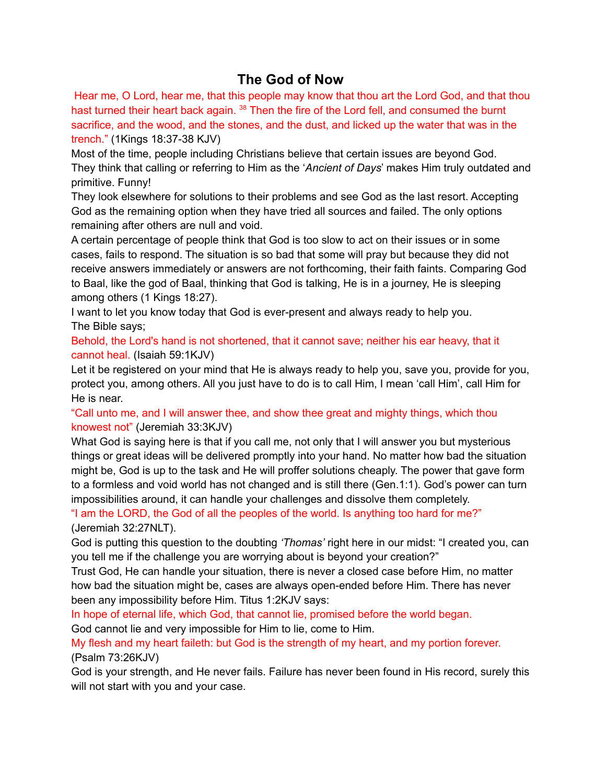## **The God of Now**

Hear me, O Lord, hear me, that this people may know that thou art the Lord God, and that thou hast turned their heart back again.<sup>38</sup> Then the fire of the Lord fell, and consumed the burnt sacrifice, and the wood, and the stones, and the dust, and licked up the water that was in the trench." (1Kings 18:37-38 KJV)

Most of the time, people including Christians believe that certain issues are beyond God. They think that calling or referring to Him as the '*Ancient of Days*' makes Him truly outdated and primitive. Funny!

They look elsewhere for solutions to their problems and see God as the last resort. Accepting God as the remaining option when they have tried all sources and failed. The only options remaining after others are null and void.

A certain percentage of people think that God is too slow to act on their issues or in some cases, fails to respond. The situation is so bad that some will pray but because they did not receive answers immediately or answers are not forthcoming, their faith faints. Comparing God to Baal, like the god of Baal, thinking that God is talking, He is in a journey, He is sleeping among others (1 Kings 18:27).

I want to let you know today that God is ever-present and always ready to help you. The Bible says;

Behold, the Lord's hand is not shortened, that it cannot save; neither his ear heavy, that it cannot heal. (Isaiah 59:1KJV)

Let it be registered on your mind that He is always ready to help you, save you, provide for you, protect you, among others. All you just have to do is to call Him, I mean 'call Him', call Him for He is near.

"Call unto me, and I will answer thee, and show thee great and mighty things, which thou knowest not" (Jeremiah 33:3KJV)

What God is saying here is that if you call me, not only that I will answer you but mysterious things or great ideas will be delivered promptly into your hand. No matter how bad the situation might be, God is up to the task and He will proffer solutions cheaply. The power that gave form to a formless and void world has not changed and is still there (Gen.1:1). God's power can turn impossibilities around, it can handle your challenges and dissolve them completely.

"I am the LORD, the God of all the peoples of the world. Is anything too hard for me?" (Jeremiah 32:27NLT).

God is putting this question to the doubting *'Thomas'* right here in our midst: "I created you, can you tell me if the challenge you are worrying about is beyond your creation?"

Trust God, He can handle your situation, there is never a closed case before Him, no matter how bad the situation might be, cases are always open-ended before Him. There has never been any impossibility before Him. Titus 1:2KJV says:

In hope of eternal life, which God, that cannot lie, promised before the world began.

God cannot lie and very impossible for Him to lie, come to Him.

My flesh and my heart faileth: but God is the strength of my heart, and my portion forever. (Psalm 73:26KJV)

God is your strength, and He never fails. Failure has never been found in His record, surely this will not start with you and your case.